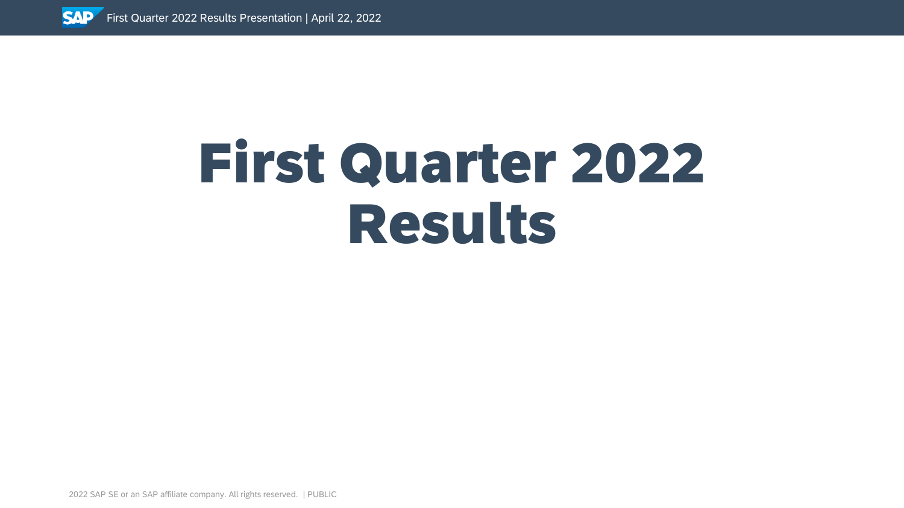

# First Quarter 2022 Results

2022 SAP SE or an SAP affiliate company. All rights reserved. ǀ PUBLIC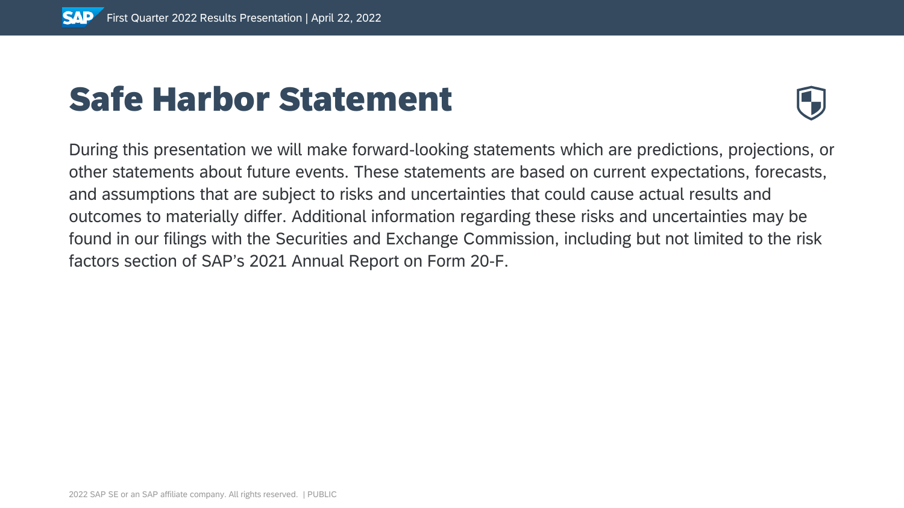# Safe Harbor Statement



During this presentation we will make forward-looking statements which are predictions, projections, or other statements about future events. These statements are based on current expectations, forecasts, and assumptions that are subject to risks and uncertainties that could cause actual results and outcomes to materially differ. Additional information regarding these risks and uncertainties may be found in our filings with the Securities and Exchange Commission, including but not limited to the risk factors section of SAP's 2021 Annual Report on Form 20-F.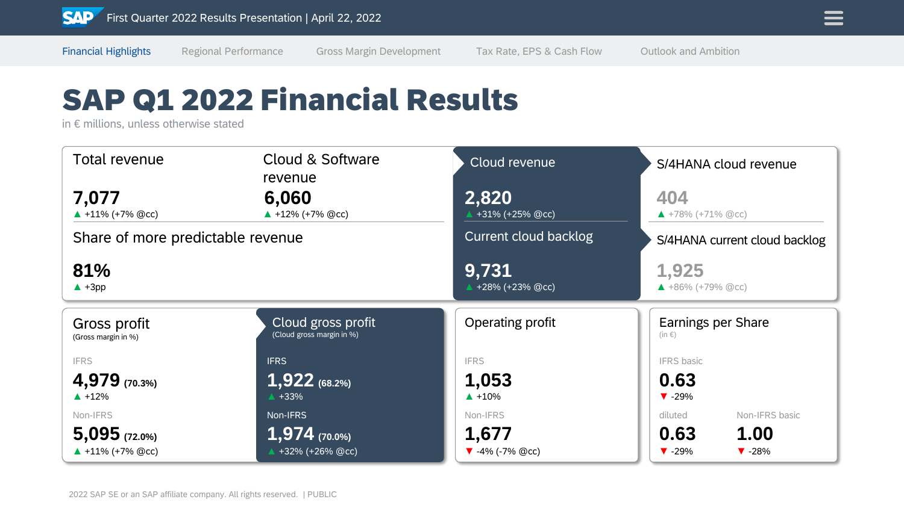### SAP Q1 2022 Financial Results

in € millions, unless otherwise stated

| Total revenue                       | Cloud & Software<br>revenue                     | Cloud revenue                      | S/4HANA cloud revenue                                  |
|-------------------------------------|-------------------------------------------------|------------------------------------|--------------------------------------------------------|
| 7,077<br>$\triangle$ +11% (+7% @cc) | 6,060<br>▲ +12% (+7% @cc)                       | 2,820<br>+31% (+25% @cc)           | 404<br>$\triangle$ +78% (+71% @cc)                     |
| Share of more predictable revenue   |                                                 | Current cloud backlog              | S/4HANA current cloud backlog                          |
| 81%<br>$\triangle$ +3pp             |                                                 | 9,731<br>▲ +28% (+23% @cc)         | 1,925<br>$\triangle$ +86% (+79% @cc)                   |
| Gross profit<br>(Gross margin in %) | Cloud gross profit<br>(Cloud gross margin in %) | Operating profit                   | Earnings per Share<br>$(in \in)$                       |
| <b>IFRS</b>                         | <b>IFRS</b>                                     | <b>IFRS</b>                        | <b>IFRS</b> basic                                      |
| 4,979 (70.3%)                       | $1,922$ (68.2%)                                 | 1,053                              | 0.63                                                   |
| $\triangle$ +12%                    | $\triangle$ +33%                                | $\triangle$ +10%                   | $\blacktriangledown$ -29%                              |
| Non-IFRS                            | Non-IFRS                                        | Non-IFRS                           | Non-IFRS basic<br>diluted                              |
| $5,095$ (72.0%)                     | $1,974$ (70.0%)                                 | 1,677                              | 0.63<br>1.00                                           |
| $\triangle$ +11% (+7% @cc)          | +32% (+26% @cc)                                 | $\blacktriangledown$ -4% (-7% @cc) | $\blacktriangledown$ -28%<br>$\blacktriangledown$ -29% |

Financial Highlights Regional Performance Gross Margin Development Tax Rate, EPS & Cash Flow Outlook and Ambition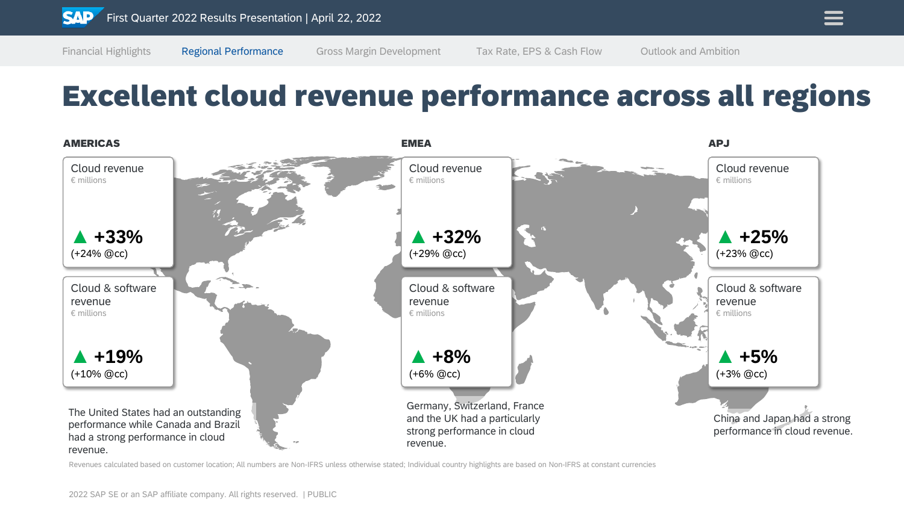Financial Highlights Regional Performance Gross Margin Development Tax Rate, EPS & Cash Flow Outlook and Ambition

### Excellent cloud revenue performance across all regions



Revenues calculated based on customer location; All numbers are Non-IFRS unless otherwise stated; Individual country highlights are based on Non-IFRS at constant currencies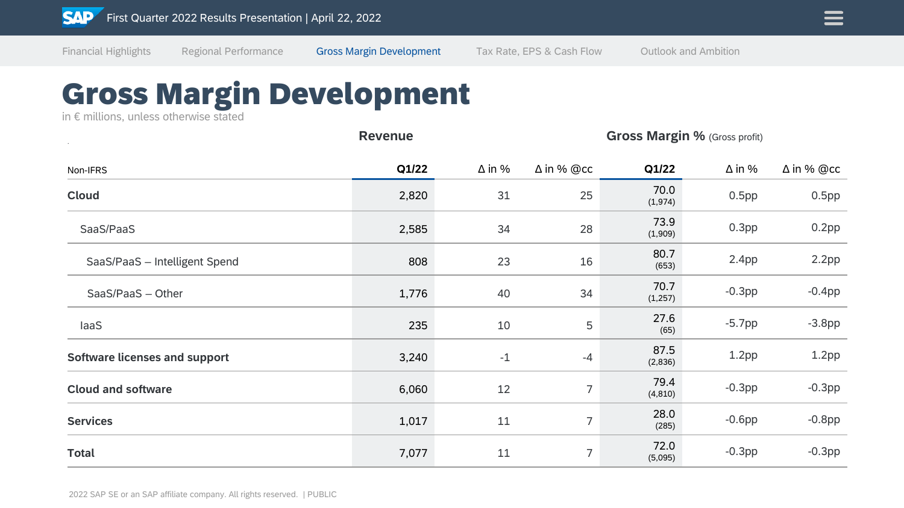### Gross Margin Development

in € millions, unless otherwise stated

|                                      | <b>Revenue</b> | <b>Gross Margin %</b> (Gross profit) |                   |                  |                   |                   |
|--------------------------------------|----------------|--------------------------------------|-------------------|------------------|-------------------|-------------------|
| Non-IFRS                             | Q1/22          | $\Delta$ in %                        | $\Delta$ in % @cc | Q1/22            | $\Delta$ in %     | $\Delta$ in % @cc |
| <b>Cloud</b>                         | 2,820          | 31                                   | 25                | 70.0<br>(1,974)  | $0.5$ pp          | $0.5$ pp          |
| SaaS/PaaS                            | 2,585          | 34                                   | 28                | 73.9<br>(1,909)  | 0.3 <sub>pp</sub> | $0.2$ pp          |
| SaaS/PaaS - Intelligent Spend        | 808            | 23                                   | 16                | 80.7<br>(653)    | 2.4 <sub>pp</sub> | $2.2$ pp          |
| SaaS/PaaS - Other                    | 1,776          | 40                                   | 34                | 70.7<br>(1, 257) | $-0.3$ pp         | $-0.4$ pp         |
| laaS                                 | 235            | 10                                   | 5                 | 27.6<br>(65)     | $-5.7$ pp         | $-3.8pp$          |
| <b>Software licenses and support</b> | 3,240          | $-1$                                 | $-4$              | 87.5<br>(2,836)  | 1.2 <sub>pp</sub> | 1.2 <sub>pp</sub> |
| <b>Cloud and software</b>            | 6,060          | 12                                   | $\overline{7}$    | 79.4<br>(4, 810) | $-0.3$ pp         | $-0.3$ pp         |
| <b>Services</b>                      | 1,017          | 11                                   | $\overline{7}$    | 28.0<br>(285)    | $-0.6$ pp         | $-0.8$ pp         |
| <b>Total</b>                         | 7,077          | 11                                   | $\overline{7}$    | 72.0<br>(5,095)  | $-0.3$ pp         | $-0.3$ pp         |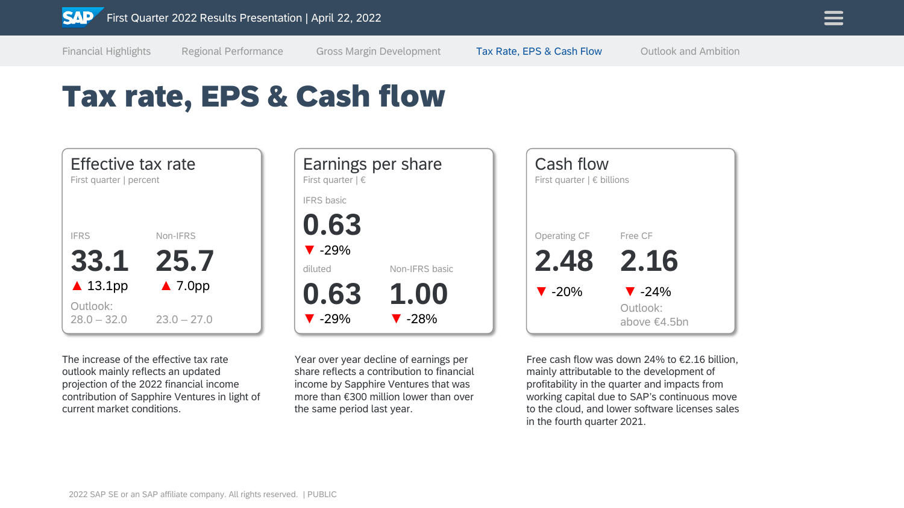

Financial Highlights Regional Performance Gross Margin Development Tax Rate, EPS & Cash Flow Outlook and Ambition

### Tax rate, EPS & Cash flow



The increase of the effective tax rate outlook mainly reflects an updated projection of the 2022 financial income contribution of Sapphire Ventures in light of current market conditions.



Year over year decline of earnings per share reflects a contribution to financial income by Sapphire Ventures that was more than €300 million lower than over the same period last year.



Free cash flow was down 24% to €2.16 billion, mainly attributable to the development of profitability in the quarter and impacts from working capital due to SAP's continuous move to the cloud, and lower software licenses sales in the fourth quarter 2021.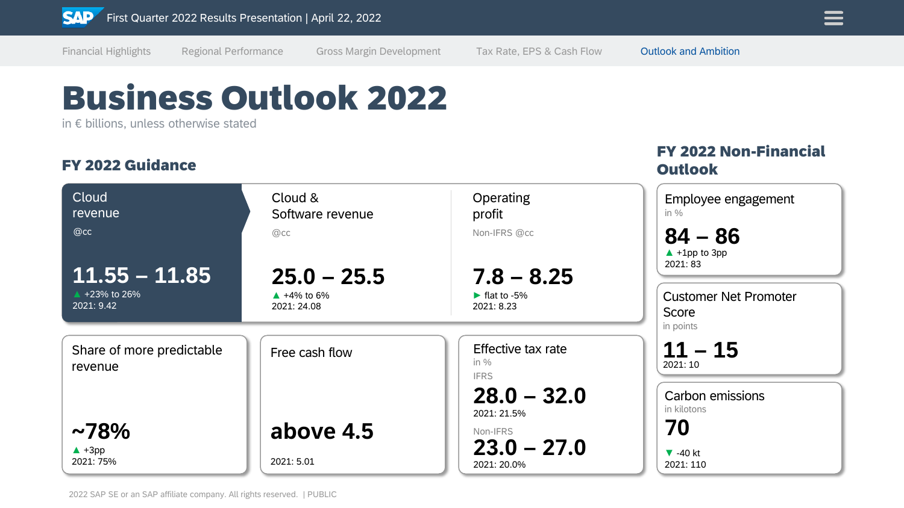

Business Outlook 2022

in € billions, unless otherwise stated

#### FY 2022 Guidance

#### FY 2022 Non-Financial **Outlook**

| Cloud<br>revenue                     | Cloud &<br>Software revenue          | Operating<br>profit                         | Employee engagement<br>in $\%$                     |
|--------------------------------------|--------------------------------------|---------------------------------------------|----------------------------------------------------|
| @cc<br>$11.55 - 11.85$               | @cc<br>$25.0 - 25.5$                 | Non-IFRS @cc<br>$7.8 - 8.25$                | $84 - 86$<br>$\triangle$ +1pp to 3pp<br>2021: 83   |
| ▲ +23% to 26%<br>2021: 9.42          | $\triangle$ +4% to 6%<br>2021: 24.08 | lat to $-5\%$<br>2021: 8.23                 | <b>Customer Net Promoter</b><br>Score<br>in points |
| Share of more predictable<br>revenue | Free cash flow                       | Effective tax rate<br>in $%$<br><b>IFRS</b> | $11 - 15$<br>2021: 10                              |
|                                      |                                      | $28.0 - 32.0$<br>2021: 21.5%                | Carbon emissions<br>in kilotons                    |
| $~10^{12}$                           | above 4.5                            | Non-IFRS                                    | 70                                                 |
| $\triangle$ +3pp<br>2021: 75%        | 2021: 5.01                           | $23.0 - 27.0$<br>2021: 20.0%                | $\blacktriangledown$ -40 kt<br>2021: 110           |

Financial Highlights Regional Performance Gross Margin Development Tax Rate, EPS & Cash Flow Outlook and Ambition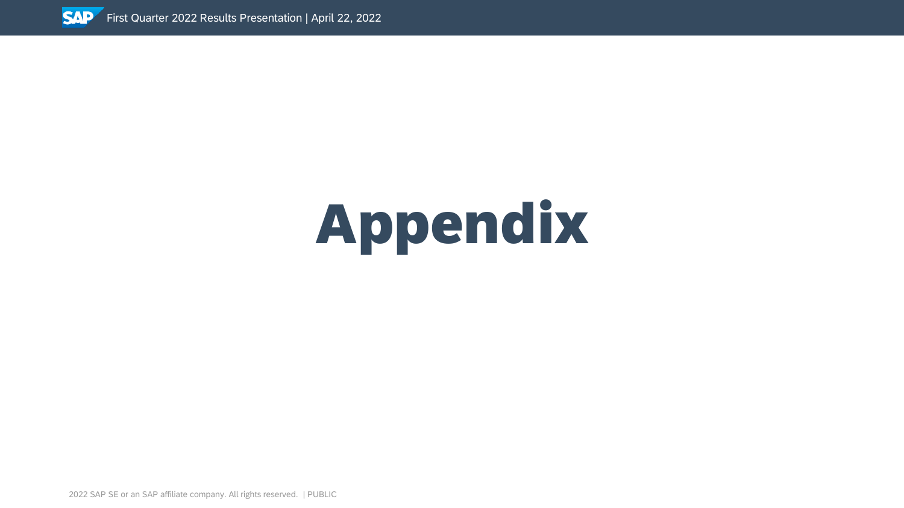

2022 SAP SE or an SAP affiliate company. All rights reserved. ǀ PUBLIC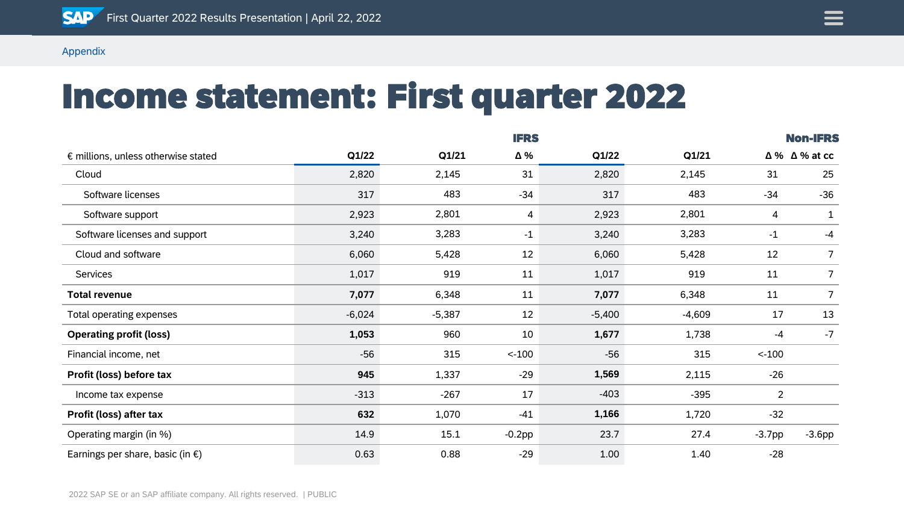

# Income statement: First quarter 2022

|                                              |          | <b>IFRS</b> |           |          |          |                |                             |
|----------------------------------------------|----------|-------------|-----------|----------|----------|----------------|-----------------------------|
| $\epsilon$ millions, unless otherwise stated | Q1/22    | Q1/21       | Δ%        | Q1/22    | Q1/21    |                | $\Delta\%$ $\Delta\%$ at cc |
| Cloud                                        | 2,820    | 2,145       | 31        | 2,820    | 2,145    | 31             | 25                          |
| Software licenses                            | 317      | 483         | $-34$     | 317      | 483      | $-34$          | $-36$                       |
| Software support                             | 2,923    | 2,801       | 4         | 2,923    | 2,801    | $\overline{4}$ | $\mathbf{1}$                |
| Software licenses and support                | 3,240    | 3,283       | $-1$      | 3,240    | 3,283    | $-1$           | $-4$                        |
| Cloud and software                           | 6,060    | 5,428       | 12        | 6,060    | 5,428    | 12             | 7                           |
| Services                                     | 1,017    | 919         | 11        | 1,017    | 919      | 11             | 7                           |
| <b>Total revenue</b>                         | 7,077    | 6,348       | 11        | 7,077    | 6,348    | 11             | 7                           |
| Total operating expenses                     | $-6,024$ | $-5,387$    | 12        | $-5,400$ | $-4,609$ | 17             | 13                          |
| <b>Operating profit (loss)</b>               | 1,053    | 960         | 10        | 1,677    | 1,738    | -4             | $-7$                        |
| Financial income, net                        | $-56$    | 315         | $< -100$  | $-56$    | 315      | $< -100$       |                             |
| Profit (loss) before tax                     | 945      | 1,337       | $-29$     | 1,569    | 2,115    | $-26$          |                             |
| Income tax expense                           | $-313$   | $-267$      | 17        | $-403$   | $-395$   | $\overline{2}$ |                             |
| Profit (loss) after tax                      | 632      | 1,070       | $-41$     | 1,166    | 1,720    | $-32$          |                             |
| Operating margin (in %)                      | 14.9     | 15.1        | $-0.2$ pp | 23.7     | 27.4     | $-3.7$ pp      | $-3.6$ pp                   |
| Earnings per share, basic (in $\epsilon$ )   | 0.63     | 0.88        | $-29$     | 1.00     | 1.40     | $-28$          |                             |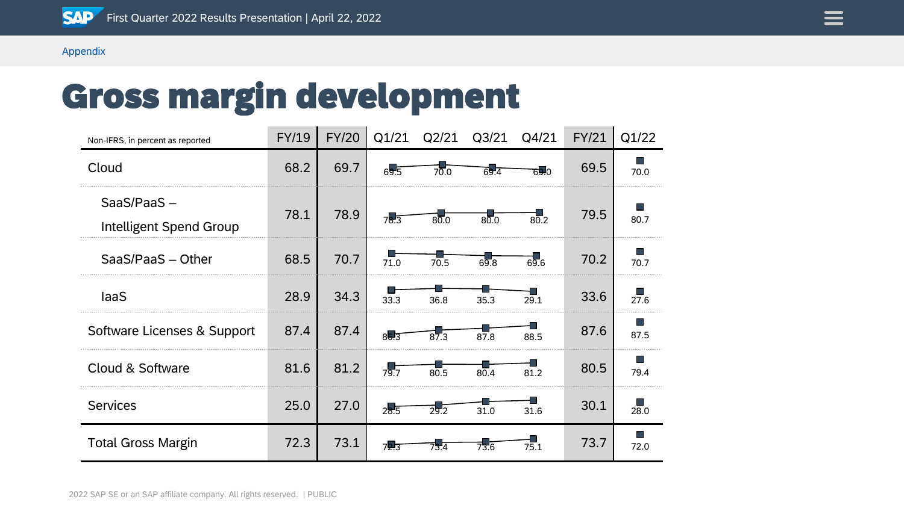

# Gross margin development

| Non-IFRS, in percent as reported         | FY/19 | FY/20 | Q1/21 | Q2/21 | Q <sub>3</sub> /21           | Q4/21 | <b>FY/21</b> | Q1/22        |
|------------------------------------------|-------|-------|-------|-------|------------------------------|-------|--------------|--------------|
| Cloud                                    | 68.2  | 69.7  | 69.5  | 70.0  | 69.4                         | 69.0  | 69.5         | 70.0         |
| $SaaS/PaaS -$<br>Intelligent Spend Group | 78.1  | 78.9  | 78.3  | 80.0  | 80.0                         | 80.2  | 79.5         | 80.7         |
| SaaS/PaaS - Other                        | 68.5  | 70.7  | 71.0  | 70.5  | $6\overline{9}.\overline{8}$ | 69.6  | 70.2         | 70.7         |
| laaS                                     | 28.9  | 34.3  | 33.3  | 36.8  | 35.3                         | 29.1  | 33.6         | 27.6         |
| Software Licenses & Support              | 87.4  | 87.4  | 86.3  |       | 87.8                         | 88.5  | 87.6         | a sa<br>87.5 |
| Cloud & Software                         | 81.6  | 81.2  | 79.7  | 80.5  | 80.4                         | 81.2  | 80.5         | a sa<br>79.4 |
| <b>Services</b>                          | 25.0  | 27.0  | 28.5  | 29.2  | 31.0                         | 31.6  | 30.1         | 28.0         |
| <b>Total Gross Margin</b>                | 72.3  | 73.1  | 72.t  |       | 73.6                         | 75.1  | 73.7         | a sa<br>72.0 |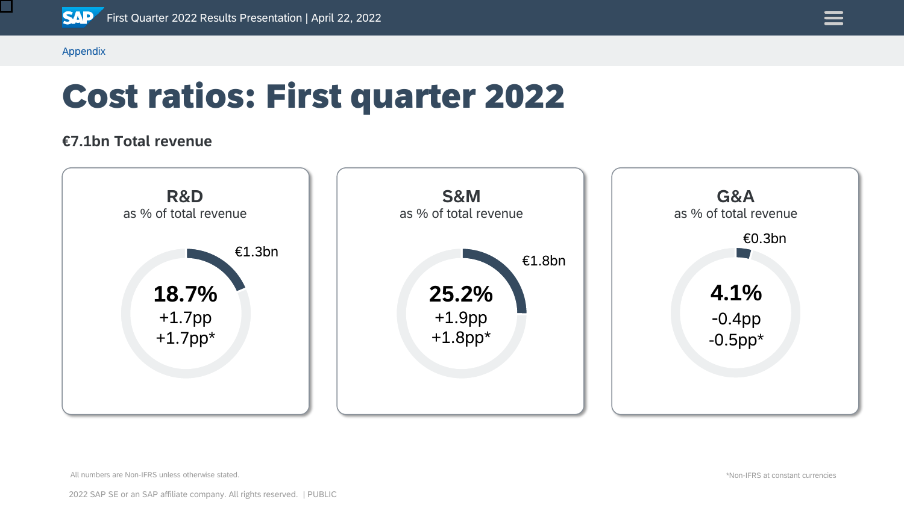

 $\mathcal{L}_{\mathcal{A}}$ 

Appendix

# Cost ratios: First quarter 2022

#### **€7.1bn Total revenue**



All numbers are Non-IFRS unless otherwise stated.

\*Non-IFRS at constant currencies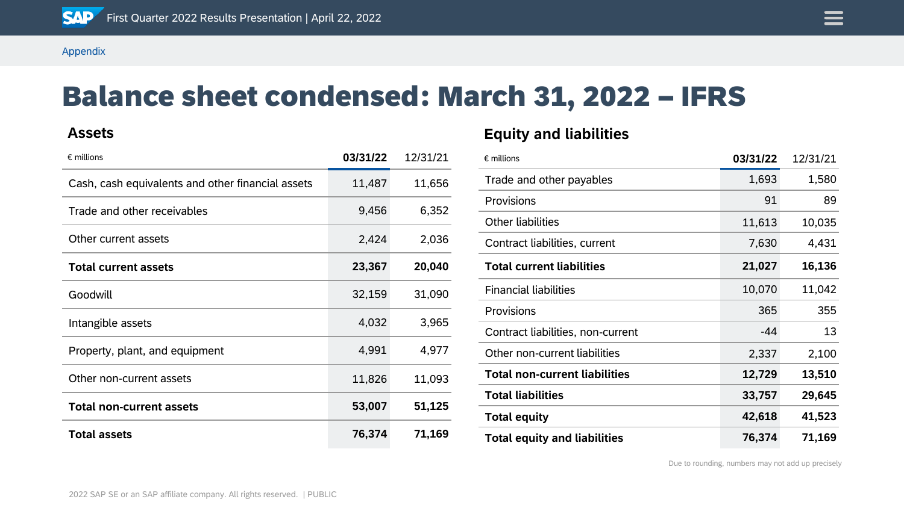

### Balance sheet condensed: March 31, 2022 – IFRS

#### **Assets**

| $\epsilon$ millions                               | 03/31/22 | 12/31/21 |
|---------------------------------------------------|----------|----------|
| Cash, cash equivalents and other financial assets | 11,487   | 11,656   |
| Trade and other receivables                       | 9,456    | 6,352    |
| Other current assets                              | 2,424    | 2,036    |
| <b>Total current assets</b>                       | 23,367   | 20,040   |
| Goodwill                                          | 32,159   | 31,090   |
| Intangible assets                                 | 4,032    | 3,965    |
| Property, plant, and equipment                    | 4,991    | 4,977    |
| Other non-current assets                          | 11,826   | 11,093   |
| <b>Total non-current assets</b>                   | 53,007   | 51,125   |
| <b>Total assets</b>                               | 76,374   | 71,169   |

#### **Equity and liabilities**

| $\epsilon$ millions                  | 03/31/22 | 12/31/21 |
|--------------------------------------|----------|----------|
| Trade and other payables             | 1,693    | 1,580    |
| Provisions                           | 91       | 89       |
| <b>Other liabilities</b>             | 11,613   | 10,035   |
| Contract liabilities, current        | 7,630    | 4,431    |
| <b>Total current liabilities</b>     | 21,027   | 16,136   |
| <b>Financial liabilities</b>         | 10,070   | 11,042   |
| Provisions                           | 365      | 355      |
| Contract liabilities, non-current    | $-44$    | 13       |
| Other non-current liabilities        | 2,337    | 2,100    |
| <b>Total non-current liabilities</b> | 12,729   | 13,510   |
| <b>Total liabilities</b>             | 33,757   | 29,645   |
| <b>Total equity</b>                  | 42,618   | 41,523   |
| <b>Total equity and liabilities</b>  | 76,374   | 71,169   |

Due to rounding, numbers may not add up precisely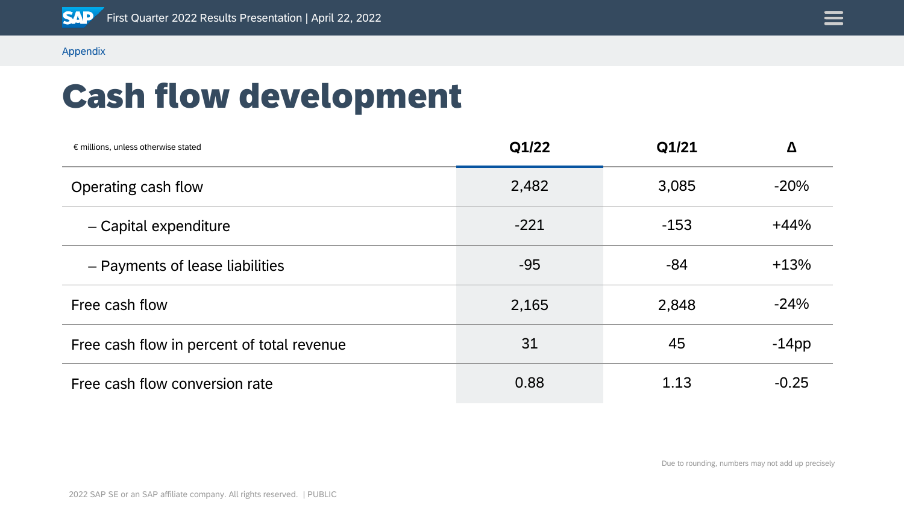

# Cash flow development

| $\epsilon$ millions, unless otherwise stated | Q1/22  | Q1/21  | Δ        |
|----------------------------------------------|--------|--------|----------|
| Operating cash flow                          | 2,482  | 3,085  | $-20%$   |
| - Capital expenditure                        | $-221$ | $-153$ | $+44%$   |
| - Payments of lease liabilities              | $-95$  | $-84$  | $+13%$   |
| Free cash flow                               | 2,165  | 2,848  | $-24%$   |
| Free cash flow in percent of total revenue   | 31     | 45     | $-14$ pp |
| Free cash flow conversion rate               | 0.88   | 1.13   | $-0.25$  |

Due to rounding, numbers may not add up precisely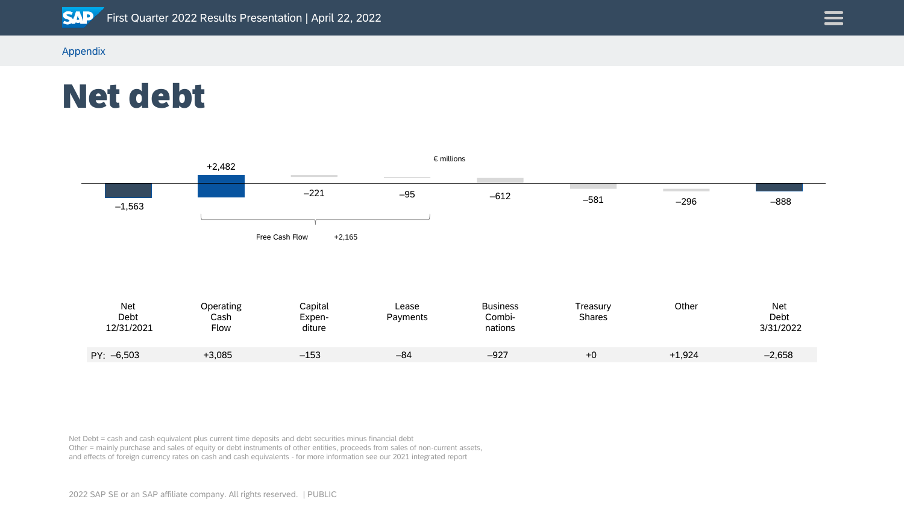

Net debt



Net Debt = cash and cash equivalent plus current time deposits and debt securities minus financial debt Other = mainly purchase and sales of equity or debt instruments of other entities, proceeds from sales of non-current assets, and effects of foreign currency rates on cash and cash equivalents - for more information see our 2021 integrated report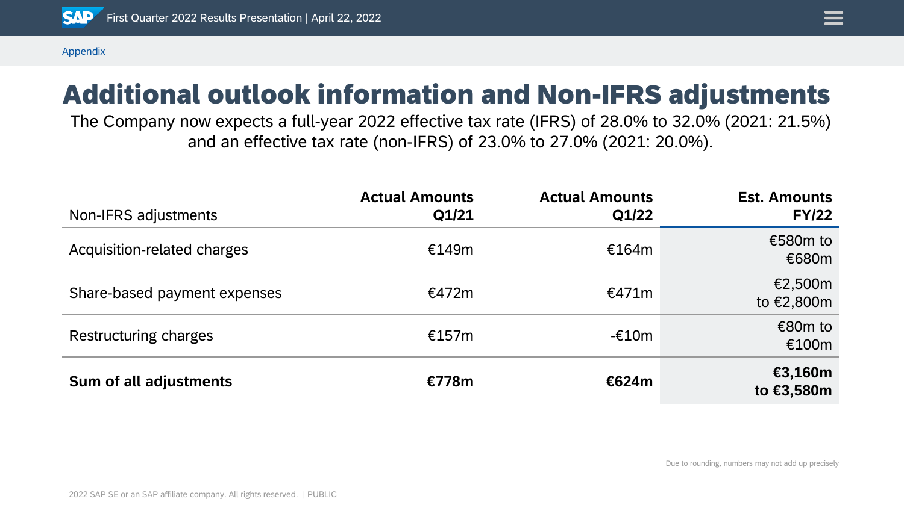

### Additional outlook information and Non-IFRS adjustments

The Company now expects a full-year 2022 effective tax rate (IFRS) of 28.0% to 32.0% (2021: 21.5%) and an effective tax rate (non-IFRS) of 23.0% to 27.0% (2021: 20.0%).

| Non-IFRS adjustments         | <b>Actual Amounts</b><br>Q1/21 | <b>Actual Amounts</b><br>Q1/22 | <b>Est. Amounts</b><br><b>FY/22</b> |
|------------------------------|--------------------------------|--------------------------------|-------------------------------------|
| Acquisition-related charges  | €149m                          | €164m                          | €580m to<br>€680m                   |
| Share-based payment expenses | €472m                          | €471m                          | €2,500m<br>to €2,800m               |
| Restructuring charges        | €157m                          | $-£10m$                        | €80 $m$ to<br>€100m                 |
| Sum of all adjustments       | €778m                          | €624m                          | €3,160m<br>to €3,580m               |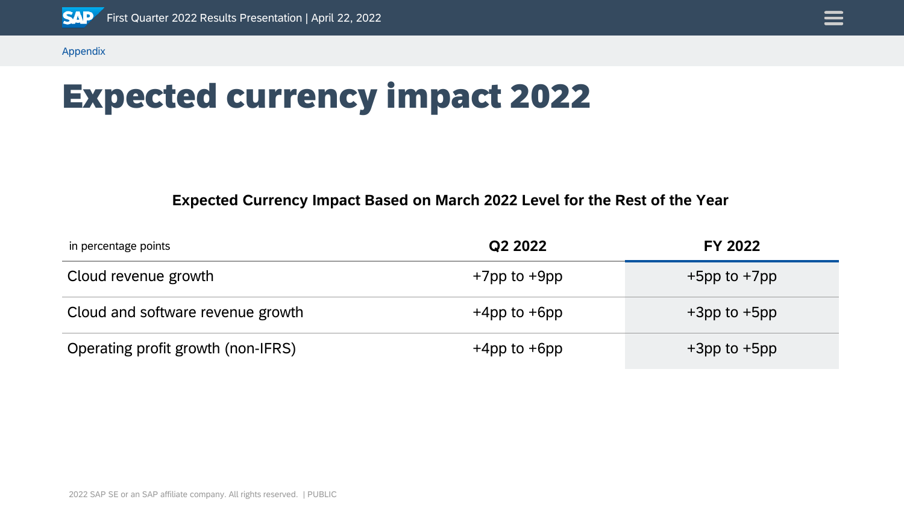

# Expected currency impact 2022

#### **Expected Currency Impact Based on March 2022 Level for the Rest of the Year**

| in percentage points               | Q2 2022            | <b>FY 2022</b>     |
|------------------------------------|--------------------|--------------------|
| Cloud revenue growth               | $+7$ pp to $+9$ pp | $+5$ pp to $+7$ pp |
| Cloud and software revenue growth  | $+4$ pp to $+6$ pp | $+3$ pp to $+5$ pp |
| Operating profit growth (non-IFRS) | $+4$ pp to $+6$ pp | $+3$ pp to $+5$ pp |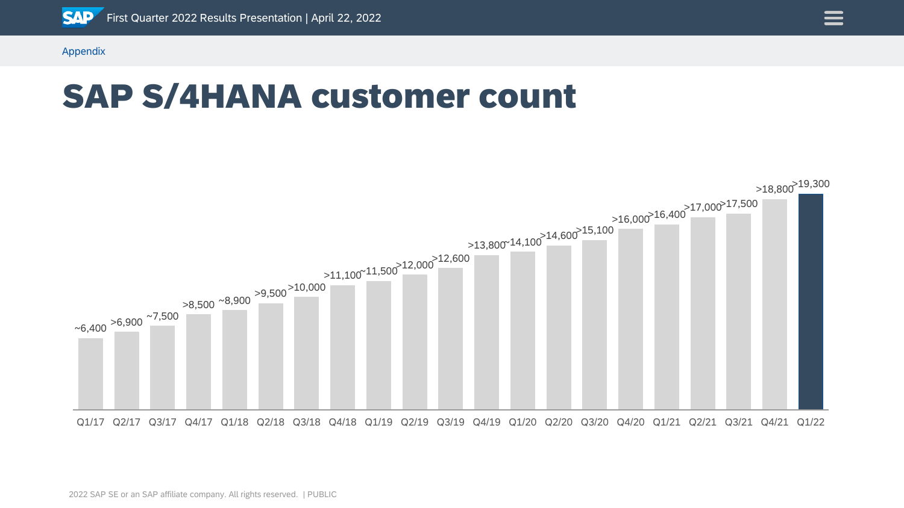

### SAP S/4HANA customer count



 $\equiv$